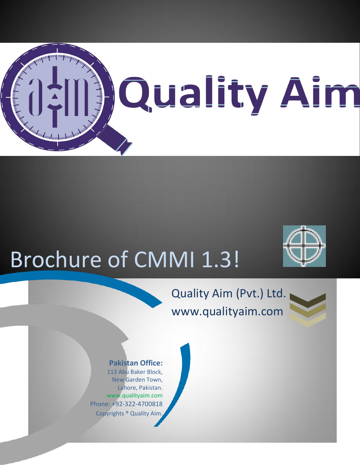

# Brochure of CMMI 1.3!

## Quality Aim (Pvt.) Ltd. www.qualityaim.com



#### **Pakistan Office:**

113 Abu Baker Block, New Garden Town, Lahore, Pakistan. www.qualityaim.com Phone: +92-322-4700818 Copyrights ® Quality Aim.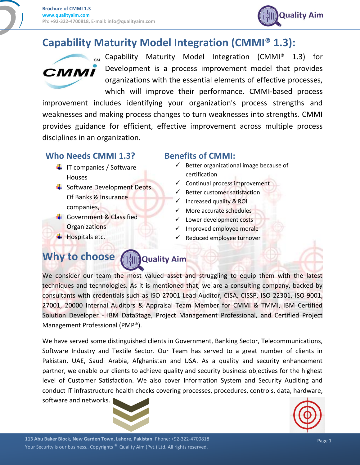

## **Capability Maturity Model Integration (CMMI® 1.3):**



Capability Maturity Model Integration (CMMI® 1.3) for Development is a process improvement model that provides organizations with the essential elements of effective processes, which will improve their performance. CMMI-based process

improvement includes identifying your organization's process strengths and weaknesses and making process changes to turn weaknesses into strengths. CMMI provides guidance for efficient, effective improvement across multiple process disciplines in an organization.

#### **Who Needs CMMI 1.3?**

- $\frac{1}{\sqrt{2}}$  IT companies / Software Houses
- **↓** Software Development Depts. Of Banks & Insurance companies,
- Government & Classified **Organizations**
- $\overline{\phantom{a}}$  Hospitals etc.

#### **Benefits of CMMI:**

- $\checkmark$  Better organizational image because of certification
- $\checkmark$  Continual process improvement
- $\checkmark$  Better customer satisfaction
- $\checkmark$  Increased quality & ROI
- $\checkmark$  More accurate schedules
- $\checkmark$  Lower development costs
- Improved employee morale
- Reduced employee turnover

#### **Why to choose Em Quality Aim**

We consider our team the most valued asset and struggling to equip them with the latest techniques and technologies. As it is mentioned that, we are a consulting company, backed by consultants with credentials such as ISO 27001 Lead Auditor, CISA, CISSP, ISO 22301, ISO 9001, 27001, 20000 Internal Auditors & Appraisal Team Member for CMMI & TMMI, IBM Certified Solution Developer - IBM DataStage, Project Management Professional, and Certified Project Management Professional (PMP®).

We have served some distinguished clients in Government, Banking Sector, Telecommunications, Software Industry and Textile Sector. Our Team has served to a great number of clients in Pakistan, UAE, Saudi Arabia, Afghanistan and USA. As a quality and security enhancement partner, we enable our clients to achieve quality and security business objectives for the highest level of Customer Satisfaction. We also cover Information System and Security Auditing and conduct IT infrastructure health checks covering processes, procedures, controls, data, hardware, software and networks.



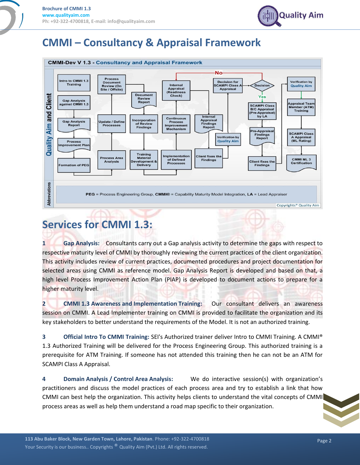

## **CMMI – Consultancy & Appraisal Framework**



## **Services for CMMI 1.3:**

**1 Gap Analysis:** Consultants carry out a Gap analysis activity to determine the gaps with respect to respective maturity level of CMMI by thoroughly reviewing the current practices of the client organization. This activity includes review of current practices, documented procedures and project documentation for selected areas using CMMI as reference model. Gap Analysis Report is developed and based on that, a high level Process Improvement Action Plan (PIAP) is developed to document actions to prepare for a higher maturity level.

**2 CMMI 1.3 Awareness and Implementation Training:** Our consultant delivers an awareness session on CMMI. A Lead Implementer training on CMMI is provided to facilitate the organization and its key stakeholders to better understand the requirements of the Model. It is not an authorized training.

**3 Official Intro To CMMI Training:** SEI's Authorized trainer deliver Intro to CMMI Training. A CMMI® 1.3 Authorized Training will be delivered for the Process Engineering Group. This authorized training is a prerequisite for ATM Training. If someone has not attended this training then he can not be an ATM for SCAMPI Class A Appraisal.

**4 Domain Analysis / Control Area Analysis:** We do interactive session(s) with organization's practitioners and discuss the model practices of each process area and try to establish a link that how CMMI can best help the organization. This activity helps clients to understand the vital concepts of CMMI process areas as well as help them understand a road map specific to their organization.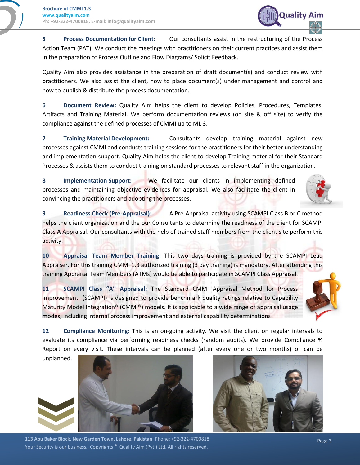**5 Process Documentation for Client:** Our consultants assist in the restructuring of the Process Action Team (PAT). We conduct the meetings with practitioners on their current practices and assist them in the preparation of Process Outline and Flow Diagrams/ Solicit Feedback.

Quality Aim also provides assistance in the preparation of draft document(s) and conduct review with practitioners. We also assist the client, how to place document(s) under management and control and how to publish & distribute the process documentation.

**6 Document Review:** Quality Aim helps the client to develop Policies, Procedures, Templates, Artifacts and Training Material. We perform documentation reviews (on site & off site) to verify the compliance against the defined processes of CMMI up to ML 3.

**7 Training Material Development:** Consultants develop training material against new processes against CMMI and conducts training sessions for the practitioners for their better understanding and implementation support. Quality Aim helps the client to develop Training material for their Standard Processes & assists them to conduct training on standard processes to relevant staff in the organization.

**8 Implementation Support:** We facilitate our clients in implementing defined processes and maintaining objective evidences for appraisal. We also facilitate the client in convincing the practitioners and adopting the processes.

**9 Readiness Check (Pre-Appraisal):** A Pre-Appraisal activity using SCAMPI Class B or C method helps the client organization and the our Consultants to determine the readiness of the client for SCAMPI Class A Appraisal. Our consultants with the help of trained staff members from the client site perform this activity.

**10 Appraisal Team Member Training:** This two days training is provided by the SCAMPI Lead Appraiser. For this training CMMI 1.3 authorized training (3 day training) is mandatory. After attending this training Appraisal Team Members (ATMs) would be able to participate in SCAMPI Class Appraisal.

**11 SCAMPI Class "A" Appraisal:** The Standard CMMI Appraisal Method for Process Improvement (SCAMPI) is designed to provide benchmark quality ratings relative to Capability Maturity Model Integration® (CMMI®) models. It is applicable to a wide range of appraisal usage modes, including internal process improvement and external capability determinations

**12 Compliance Monitoring:** This is an on-going activity. We visit the client on regular intervals to evaluate its compliance via performing readiness checks (random audits). We provide Compliance % Report on every visit. These intervals can be planned (after every one or two months) or can be

unplanned.







**Quality Aim**